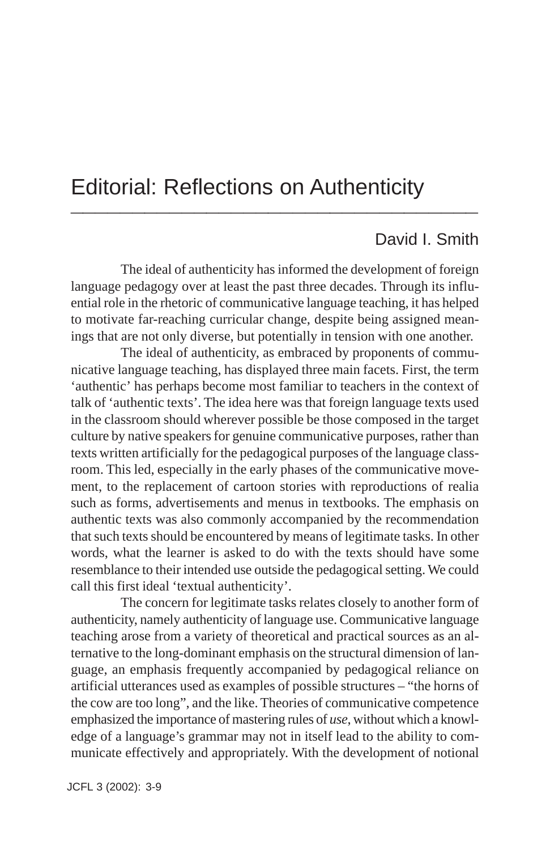## Editorial: Reflections on Authenticity **\_\_\_\_\_\_\_\_\_\_\_\_\_\_\_\_\_\_\_\_\_\_\_\_\_\_\_\_\_\_\_\_\_**

### David I. Smith

The ideal of authenticity has informed the development of foreign language pedagogy over at least the past three decades. Through its influential role in the rhetoric of communicative language teaching, it has helped to motivate far-reaching curricular change, despite being assigned meanings that are not only diverse, but potentially in tension with one another.

The ideal of authenticity, as embraced by proponents of communicative language teaching, has displayed three main facets. First, the term 'authentic' has perhaps become most familiar to teachers in the context of talk of 'authentic texts'. The idea here was that foreign language texts used in the classroom should wherever possible be those composed in the target culture by native speakers for genuine communicative purposes, rather than texts written artificially for the pedagogical purposes of the language classroom. This led, especially in the early phases of the communicative movement, to the replacement of cartoon stories with reproductions of realia such as forms, advertisements and menus in textbooks. The emphasis on authentic texts was also commonly accompanied by the recommendation that such texts should be encountered by means of legitimate tasks. In other words, what the learner is asked to do with the texts should have some resemblance to their intended use outside the pedagogical setting. We could call this first ideal 'textual authenticity'.

The concern for legitimate tasks relates closely to another form of authenticity, namely authenticity of language use. Communicative language teaching arose from a variety of theoretical and practical sources as an alternative to the long-dominant emphasis on the structural dimension of language, an emphasis frequently accompanied by pedagogical reliance on artificial utterances used as examples of possible structures – "the horns of the cow are too long", and the like. Theories of communicative competence emphasized the importance of mastering rules of *use*, without which a knowledge of a language's grammar may not in itself lead to the ability to communicate effectively and appropriately. With the development of notional

JCFL 3 (2002): 3-9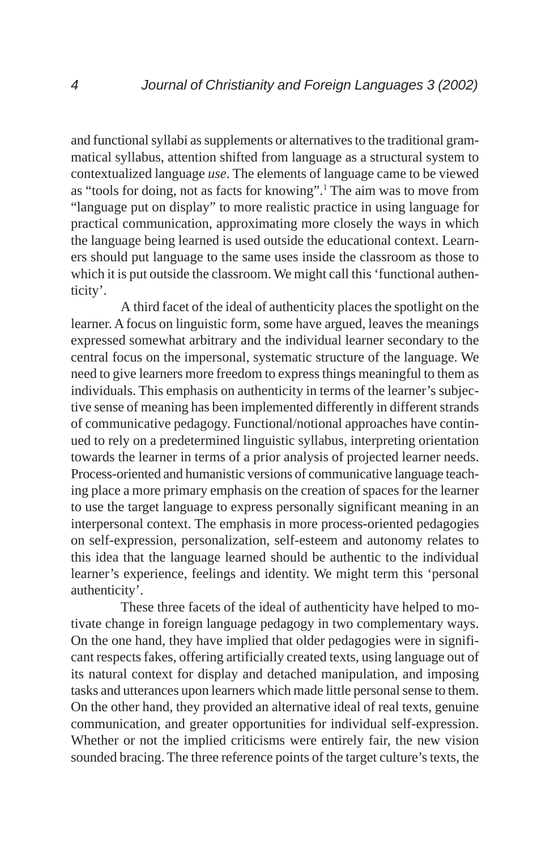and functional syllabi as supplements or alternatives to the traditional grammatical syllabus, attention shifted from language as a structural system to contextualized language *use*. The elements of language came to be viewed as "tools for doing, not as facts for knowing".1 The aim was to move from "language put on display" to more realistic practice in using language for practical communication, approximating more closely the ways in which the language being learned is used outside the educational context. Learners should put language to the same uses inside the classroom as those to which it is put outside the classroom. We might call this 'functional authenticity'.

A third facet of the ideal of authenticity places the spotlight on the learner. A focus on linguistic form, some have argued, leaves the meanings expressed somewhat arbitrary and the individual learner secondary to the central focus on the impersonal, systematic structure of the language. We need to give learners more freedom to express things meaningful to them as individuals. This emphasis on authenticity in terms of the learner's subjective sense of meaning has been implemented differently in different strands of communicative pedagogy. Functional/notional approaches have continued to rely on a predetermined linguistic syllabus, interpreting orientation towards the learner in terms of a prior analysis of projected learner needs. Process-oriented and humanistic versions of communicative language teaching place a more primary emphasis on the creation of spaces for the learner to use the target language to express personally significant meaning in an interpersonal context. The emphasis in more process-oriented pedagogies on self-expression, personalization, self-esteem and autonomy relates to this idea that the language learned should be authentic to the individual learner's experience, feelings and identity. We might term this 'personal authenticity'.

These three facets of the ideal of authenticity have helped to motivate change in foreign language pedagogy in two complementary ways. On the one hand, they have implied that older pedagogies were in significant respects fakes, offering artificially created texts, using language out of its natural context for display and detached manipulation, and imposing tasks and utterances upon learners which made little personal sense to them. On the other hand, they provided an alternative ideal of real texts, genuine communication, and greater opportunities for individual self-expression. Whether or not the implied criticisms were entirely fair, the new vision sounded bracing. The three reference points of the target culture's texts, the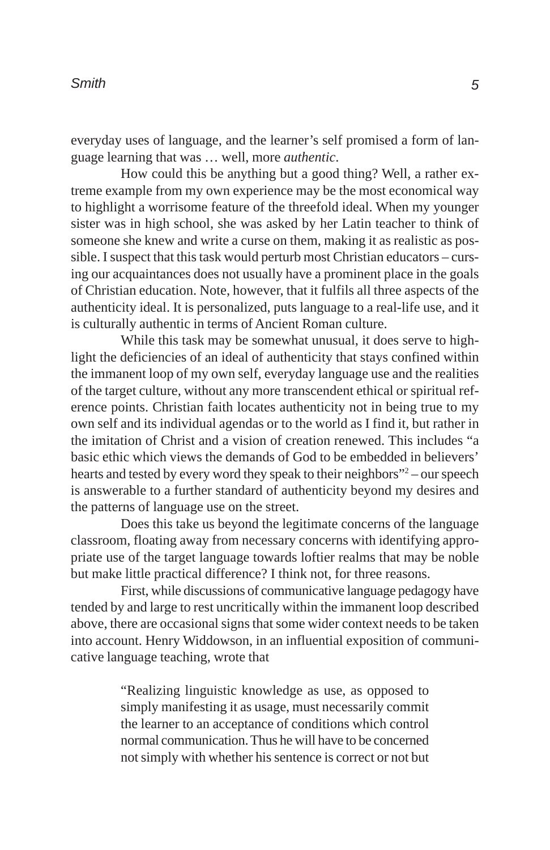everyday uses of language, and the learner's self promised a form of language learning that was … well, more *authentic*.

How could this be anything but a good thing? Well, a rather extreme example from my own experience may be the most economical way to highlight a worrisome feature of the threefold ideal. When my younger sister was in high school, she was asked by her Latin teacher to think of someone she knew and write a curse on them, making it as realistic as possible. I suspect that this task would perturb most Christian educators – cursing our acquaintances does not usually have a prominent place in the goals of Christian education. Note, however, that it fulfils all three aspects of the authenticity ideal. It is personalized, puts language to a real-life use, and it is culturally authentic in terms of Ancient Roman culture.

While this task may be somewhat unusual, it does serve to highlight the deficiencies of an ideal of authenticity that stays confined within the immanent loop of my own self, everyday language use and the realities of the target culture, without any more transcendent ethical or spiritual reference points. Christian faith locates authenticity not in being true to my own self and its individual agendas or to the world as I find it, but rather in the imitation of Christ and a vision of creation renewed. This includes "a basic ethic which views the demands of God to be embedded in believers' hearts and tested by every word they speak to their neighbors"<sup>2</sup> – our speech is answerable to a further standard of authenticity beyond my desires and the patterns of language use on the street.

Does this take us beyond the legitimate concerns of the language classroom, floating away from necessary concerns with identifying appropriate use of the target language towards loftier realms that may be noble but make little practical difference? I think not, for three reasons.

First, while discussions of communicative language pedagogy have tended by and large to rest uncritically within the immanent loop described above, there are occasional signs that some wider context needs to be taken into account. Henry Widdowson, in an influential exposition of communicative language teaching, wrote that

> "Realizing linguistic knowledge as use, as opposed to simply manifesting it as usage, must necessarily commit the learner to an acceptance of conditions which control normal communication. Thus he will have to be concerned not simply with whether his sentence is correct or not but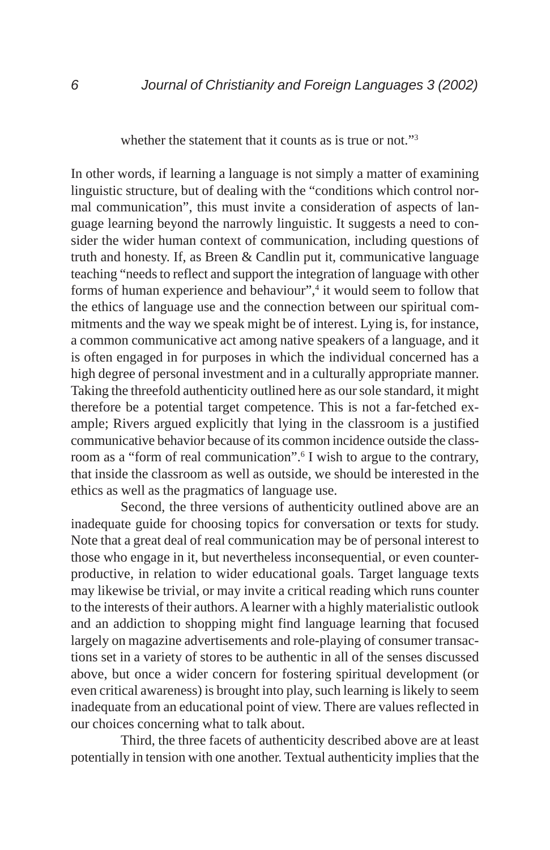whether the statement that it counts as is true or not."<sup>3</sup>

In other words, if learning a language is not simply a matter of examining linguistic structure, but of dealing with the "conditions which control normal communication", this must invite a consideration of aspects of language learning beyond the narrowly linguistic. It suggests a need to consider the wider human context of communication, including questions of truth and honesty. If, as Breen & Candlin put it, communicative language teaching "needs to reflect and support the integration of language with other forms of human experience and behaviour",<sup>4</sup> it would seem to follow that the ethics of language use and the connection between our spiritual commitments and the way we speak might be of interest. Lying is, for instance, a common communicative act among native speakers of a language, and it is often engaged in for purposes in which the individual concerned has a high degree of personal investment and in a culturally appropriate manner. Taking the threefold authenticity outlined here as our sole standard, it might therefore be a potential target competence. This is not a far-fetched example; Rivers argued explicitly that lying in the classroom is a justified communicative behavior because of its common incidence outside the classroom as a "form of real communication".<sup>6</sup> I wish to argue to the contrary, that inside the classroom as well as outside, we should be interested in the ethics as well as the pragmatics of language use.

Second, the three versions of authenticity outlined above are an inadequate guide for choosing topics for conversation or texts for study. Note that a great deal of real communication may be of personal interest to those who engage in it, but nevertheless inconsequential, or even counterproductive, in relation to wider educational goals. Target language texts may likewise be trivial, or may invite a critical reading which runs counter to the interests of their authors. A learner with a highly materialistic outlook and an addiction to shopping might find language learning that focused largely on magazine advertisements and role-playing of consumer transactions set in a variety of stores to be authentic in all of the senses discussed above, but once a wider concern for fostering spiritual development (or even critical awareness) is brought into play, such learning is likely to seem inadequate from an educational point of view. There are values reflected in our choices concerning what to talk about.

Third, the three facets of authenticity described above are at least potentially in tension with one another. Textual authenticity implies that the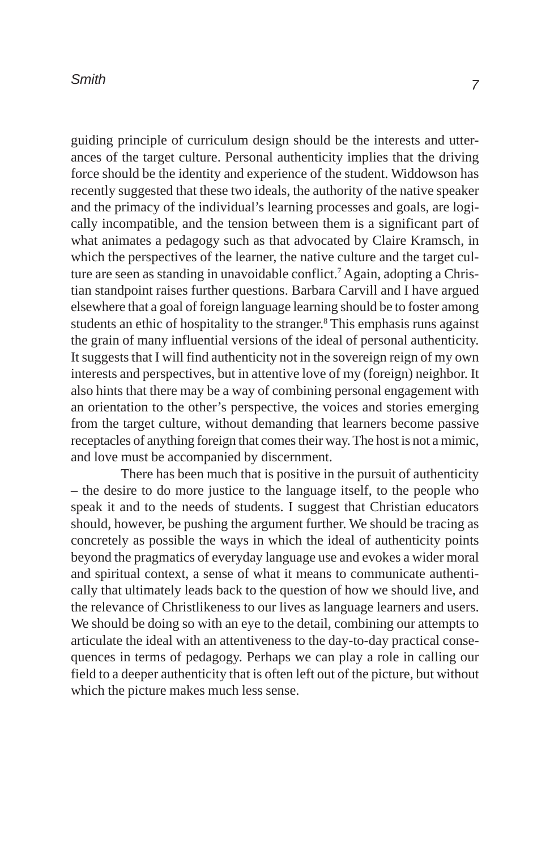#### *Smith*

guiding principle of curriculum design should be the interests and utterances of the target culture. Personal authenticity implies that the driving force should be the identity and experience of the student. Widdowson has recently suggested that these two ideals, the authority of the native speaker and the primacy of the individual's learning processes and goals, are logically incompatible, and the tension between them is a significant part of what animates a pedagogy such as that advocated by Claire Kramsch, in which the perspectives of the learner, the native culture and the target culture are seen as standing in unavoidable conflict.<sup>7</sup> Again, adopting a Christian standpoint raises further questions. Barbara Carvill and I have argued elsewhere that a goal of foreign language learning should be to foster among students an ethic of hospitality to the stranger.<sup>8</sup> This emphasis runs against the grain of many influential versions of the ideal of personal authenticity. It suggests that I will find authenticity not in the sovereign reign of my own interests and perspectives, but in attentive love of my (foreign) neighbor. It also hints that there may be a way of combining personal engagement with an orientation to the other's perspective, the voices and stories emerging from the target culture, without demanding that learners become passive receptacles of anything foreign that comes their way. The host is not a mimic, and love must be accompanied by discernment.

There has been much that is positive in the pursuit of authenticity – the desire to do more justice to the language itself, to the people who speak it and to the needs of students. I suggest that Christian educators should, however, be pushing the argument further. We should be tracing as concretely as possible the ways in which the ideal of authenticity points beyond the pragmatics of everyday language use and evokes a wider moral and spiritual context, a sense of what it means to communicate authentically that ultimately leads back to the question of how we should live, and the relevance of Christlikeness to our lives as language learners and users. We should be doing so with an eye to the detail, combining our attempts to articulate the ideal with an attentiveness to the day-to-day practical consequences in terms of pedagogy. Perhaps we can play a role in calling our field to a deeper authenticity that is often left out of the picture, but without which the picture makes much less sense.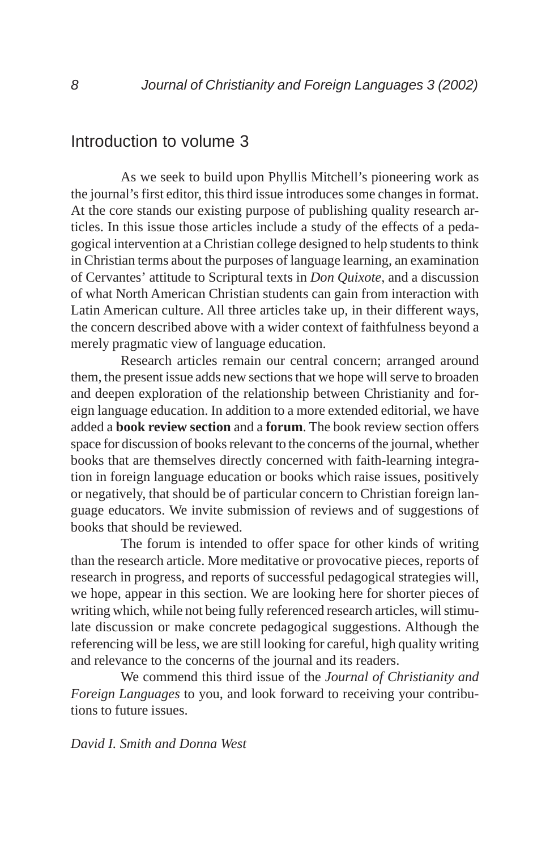## Introduction to volume 3

As we seek to build upon Phyllis Mitchell's pioneering work as the journal's first editor, this third issue introduces some changes in format. At the core stands our existing purpose of publishing quality research articles. In this issue those articles include a study of the effects of a pedagogical intervention at a Christian college designed to help students to think in Christian terms about the purposes of language learning, an examination of Cervantes' attitude to Scriptural texts in *Don Quixote*, and a discussion of what North American Christian students can gain from interaction with Latin American culture. All three articles take up, in their different ways, the concern described above with a wider context of faithfulness beyond a merely pragmatic view of language education.

Research articles remain our central concern; arranged around them, the present issue adds new sections that we hope will serve to broaden and deepen exploration of the relationship between Christianity and foreign language education. In addition to a more extended editorial, we have added a **book review section** and a **forum**. The book review section offers space for discussion of books relevant to the concerns of the journal, whether books that are themselves directly concerned with faith-learning integration in foreign language education or books which raise issues, positively or negatively, that should be of particular concern to Christian foreign language educators. We invite submission of reviews and of suggestions of books that should be reviewed.

The forum is intended to offer space for other kinds of writing than the research article. More meditative or provocative pieces, reports of research in progress, and reports of successful pedagogical strategies will, we hope, appear in this section. We are looking here for shorter pieces of writing which, while not being fully referenced research articles, will stimulate discussion or make concrete pedagogical suggestions. Although the referencing will be less, we are still looking for careful, high quality writing and relevance to the concerns of the journal and its readers.

We commend this third issue of the *Journal of Christianity and Foreign Languages* to you, and look forward to receiving your contributions to future issues.

#### *David I. Smith and Donna West*